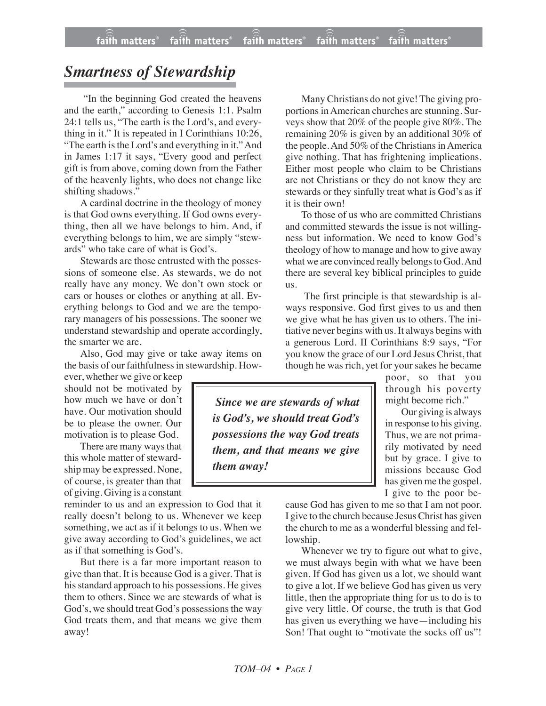## *Smartness of Stewardship*

"In the beginning God created the heavens and the earth," according to Genesis 1:1. Psalm 24:1 tells us, "The earth is the Lord's, and everything in it." It is repeated in I Corinthians 10:26, "The earth is the Lord's and everything in it." And in James 1:17 it says, "Every good and perfect gift is from above, coming down from the Father of the heavenly lights, who does not change like shifting shadows."

A cardinal doctrine in the theology of money is that God owns everything. If God owns everything, then all we have belongs to him. And, if everything belongs to him, we are simply "stewards" who take care of what is God's.

Stewards are those entrusted with the possessions of someone else. As stewards, we do not really have any money. We don't own stock or cars or houses or clothes or anything at all. Everything belongs to God and we are the temporary managers of his possessions. The sooner we understand stewardship and operate accordingly, the smarter we are.

Also, God may give or take away items on the basis of our faithfulness in stewardship. How-

ever, whether we give or keep should not be motivated by how much we have or don't have. Our motivation should be to please the owner. Our motivation is to please God.

There are many ways that this whole matter of stewardship may be expressed. None, of course, is greater than that of giving. Giving is a constant

reminder to us and an expression to God that it really doesn't belong to us. Whenever we keep something, we act as if it belongs to us. When we give away according to God's guidelines, we act as if that something is God's.

But there is a far more important reason to give than that. It is because God is a giver. That is his standard approach to his possessions. He gives them to others. Since we are stewards of what is God's, we should treat God's possessions the way God treats them, and that means we give them away!

Many Christians do not give! The giving proportions in American churches are stunning. Surveys show that 20% of the people give 80%. The remaining 20% is given by an additional 30% of the people. And 50% of the Christians in America give nothing. That has frightening implications. Either most people who claim to be Christians are not Christians or they do not know they are stewards or they sinfully treat what is God's as if it is their own!

To those of us who are committed Christians and committed stewards the issue is not willingness but information. We need to know God's theology of how to manage and how to give away what we are convinced really belongs to God. And there are several key biblical principles to guide us.

The first principle is that stewardship is always responsive. God first gives to us and then we give what he has given us to others. The initiative never begins with us. It always begins with a generous Lord. II Corinthians 8:9 says, "For you know the grace of our Lord Jesus Christ, that though he was rich, yet for your sakes he became

poor, so that you through his poverty might become rich."

Our giving is always in response to his giving. Thus, we are not primarily motivated by need but by grace. I give to missions because God has given me the gospel. I give to the poor be-

cause God has given to me so that I am not poor. I give to the church because Jesus Christ has given the church to me as a wonderful blessing and fellowship.

Whenever we try to figure out what to give, we must always begin with what we have been given. If God has given us a lot, we should want to give a lot. If we believe God has given us very little, then the appropriate thing for us to do is to give very little. Of course, the truth is that God has given us everything we have—including his Son! That ought to "motivate the socks off us"!

*Since we are stewards of what is God's, we should treat God's possessions the way God treats them, and that means we give them away!*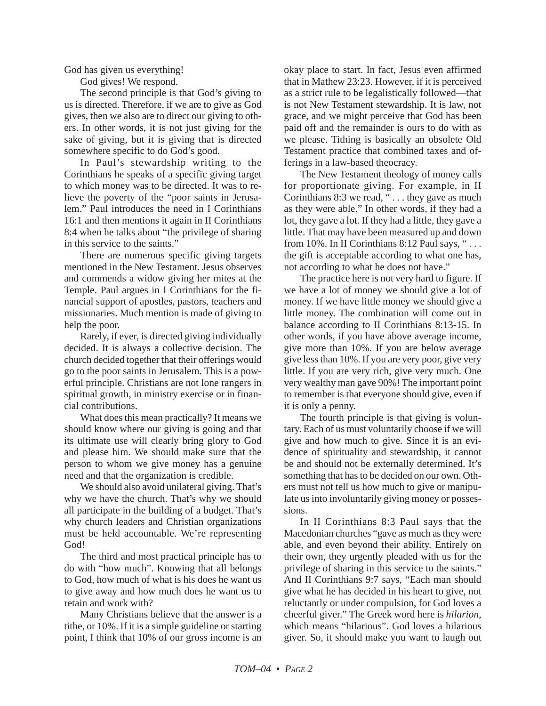God has given us everything!

God gives! We respond.

The second principle is that God's giving to us is directed. Therefore, if we are to give as God gives, then we also are to direct our giving to others. In other words, it is not just giving for the sake of giving, but it is giving that is directed somewhere specific to do God's good.

In Paul's stewardship writing to the Corinthians he speaks of a specific giving target to which money was to be directed. It was to relieve the poverty of the "poor saints in Jerusalem." Paul introduces the need in I Corinthians 16:1 and then mentions it again in II Corinthians 8:4 when he talks about "the privilege of sharing in this service to the saints."

There are numerous specific giving targets mentioned in the New Testament. Jesus observes and commends a widow giving her mites at the Temple. Paul argues in I Corinthians for the financial support of apostles, pastors, teachers and missionaries. Much mention is made of giving to help the poor.

Rarely, if ever, is directed giving individually decided. It is always a collective decision. The church decided together that their offerings would go to the poor saints in Jerusalem. This is a powerful principle. Christians are not lone rangers in spiritual growth, in ministry exercise or in financial contributions.

What does this mean practically? It means we should know where our giving is going and that its ultimate use will clearly bring glory to God and please him. We should make sure that the person to whom we give money has a genuine need and that the organization is credible.

We should also avoid unilateral giving. That's why we have the church. That's why we should all participate in the building of a budget. That's why church leaders and Christian organizations must be held accountable. We're representing God!

The third and most practical principle has to do with "how much". Knowing that all belongs to God, how much of what is his does he want us to give away and how much does he want us to retain and work with?

Many Christians believe that the answer is a tithe, or 10%. If it is a simple guideline or starting point, I think that 10% of our gross income is an okay place to start. In fact, Jesus even affirmed that in Mathew 23:23. However, if it is perceived as a strict rule to be legalistically followed—that is not New Testament stewardship. It is law, not grace, and we might perceive that God has been paid off and the remainder is ours to do with as we please. Tithing is basically an obsolete Old Testament practice that combined taxes and offerings in a law-based theocracy.

The New Testament theology of money calls for proportionate giving. For example, in II Corinthians 8:3 we read, "... they gave as much as they were able." In other words, if they had a lot, they gave a lot. If they had a little, they gave a little. That may have been measured up and down from 10%. In II Corinthians 8:12 Paul says, "... the gift is acceptable according to what one has, not according to what he does not have."

The practice here is not very hard to figure. If we have a lot of money we should give a lot of money. If we have little money we should give a little money. The combination will come out in balance according to II Corinthians 8:13-15. In other words, if you have above average income, give more than 10%. If you are below average give less than 10%. If you are very poor, give very little. If you are very rich, give very much. One very wealthy man gave 90%! The important point to remember is that everyone should give, even if it is only a penny.

The fourth principle is that giving is voluntary. Each of us must voluntarily choose if we will give and how much to give. Since it is an evidence of spirituality and stewardship, it cannot be and should not be externally determined. It's something that has to be decided on our own. Others must not tell us how much to give or manipulate us into involuntarily giving money or possessions.

In II Corinthians 8:3 Paul says that the Macedonian churches "gave as much as they were able, and even beyond their ability. Entirely on their own, they urgently pleaded with us for the privilege of sharing in this service to the saints." And II Corinthians 9:7 says, "Each man should give what he has decided in his heart to give, not reluctantly or under compulsion, for God loves a cheerful giver." The Greek word here is *hilarion,* which means "hilarious". God loves a hilarious giver. So, it should make you want to laugh out